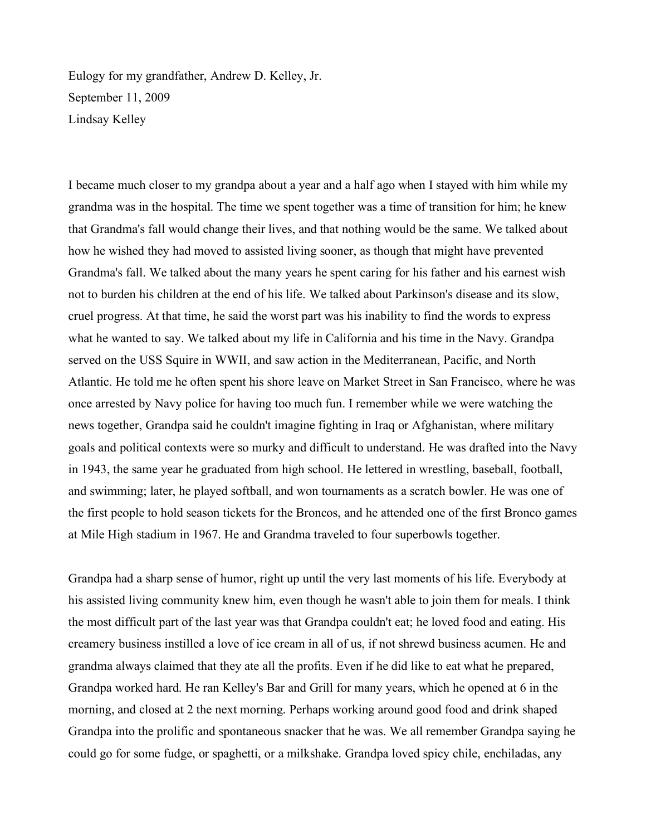Eulogy for my grandfather, Andrew D. Kelley, Jr. September 11, 2009 Lindsay Kelley

I became much closer to my grandpa about a year and a half ago when I stayed with him while my grandma was in the hospital. The time we spent together was a time of transition for him; he knew that Grandma's fall would change their lives, and that nothing would be the same. We talked about how he wished they had moved to assisted living sooner, as though that might have prevented Grandma's fall. We talked about the many years he spent caring for his father and his earnest wish not to burden his children at the end of his life. We talked about Parkinson's disease and its slow, cruel progress. At that time, he said the worst part was his inability to find the words to express what he wanted to say. We talked about my life in California and his time in the Navy. Grandpa served on the USS Squire in WWII, and saw action in the Mediterranean, Pacific, and North Atlantic. He told me he often spent his shore leave on Market Street in San Francisco, where he was once arrested by Navy police for having too much fun. I remember while we were watching the news together, Grandpa said he couldn't imagine fighting in Iraq or Afghanistan, where military goals and political contexts were so murky and difficult to understand. He was drafted into the Navy in 1943, the same year he graduated from high school. He lettered in wrestling, baseball, football, and swimming; later, he played softball, and won tournaments as a scratch bowler. He was one of the first people to hold season tickets for the Broncos, and he attended one of the first Bronco games at Mile High stadium in 1967. He and Grandma traveled to four superbowls together.

Grandpa had a sharp sense of humor, right up until the very last moments of his life. Everybody at his assisted living community knew him, even though he wasn't able to join them for meals. I think the most difficult part of the last year was that Grandpa couldn't eat; he loved food and eating. His creamery business instilled a love of ice cream in all of us, if not shrewd business acumen. He and grandma always claimed that they ate all the profits. Even if he did like to eat what he prepared, Grandpa worked hard. He ran Kelley's Bar and Grill for many years, which he opened at 6 in the morning, and closed at 2 the next morning. Perhaps working around good food and drink shaped Grandpa into the prolific and spontaneous snacker that he was. We all remember Grandpa saying he could go for some fudge, or spaghetti, or a milkshake. Grandpa loved spicy chile, enchiladas, any